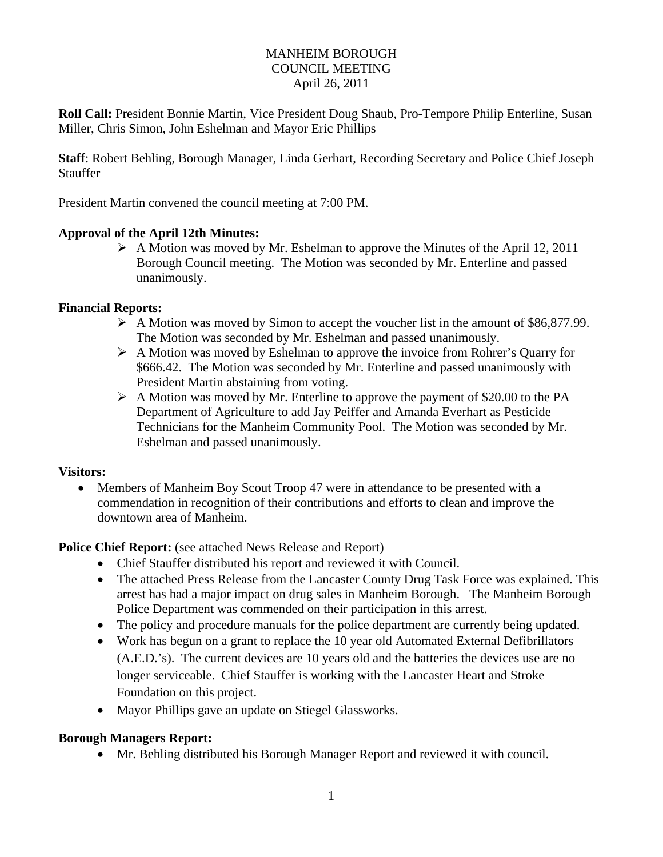## MANHEIM BOROUGH COUNCIL MEETING April 26, 2011

**Roll Call:** President Bonnie Martin, Vice President Doug Shaub, Pro-Tempore Philip Enterline, Susan Miller, Chris Simon, John Eshelman and Mayor Eric Phillips

**Staff**: Robert Behling, Borough Manager, Linda Gerhart, Recording Secretary and Police Chief Joseph Stauffer

President Martin convened the council meeting at 7:00 PM.

## **Approval of the April 12th Minutes:**

 $\triangleright$  A Motion was moved by Mr. Eshelman to approve the Minutes of the April 12, 2011 Borough Council meeting. The Motion was seconded by Mr. Enterline and passed unanimously.

#### **Financial Reports:**

- $\triangleright$  A Motion was moved by Simon to accept the voucher list in the amount of \$86,877.99. The Motion was seconded by Mr. Eshelman and passed unanimously.
- A Motion was moved by Eshelman to approve the invoice from Rohrer's Quarry for \$666.42. The Motion was seconded by Mr. Enterline and passed unanimously with President Martin abstaining from voting.
- $\triangleright$  A Motion was moved by Mr. Enterline to approve the payment of \$20.00 to the PA Department of Agriculture to add Jay Peiffer and Amanda Everhart as Pesticide Technicians for the Manheim Community Pool. The Motion was seconded by Mr. Eshelman and passed unanimously.

#### **Visitors:**

• Members of Manheim Boy Scout Troop 47 were in attendance to be presented with a commendation in recognition of their contributions and efforts to clean and improve the downtown area of Manheim.

# **Police Chief Report:** (see attached News Release and Report)

- Chief Stauffer distributed his report and reviewed it with Council.
- The attached Press Release from the Lancaster County Drug Task Force was explained. This arrest has had a major impact on drug sales in Manheim Borough. The Manheim Borough Police Department was commended on their participation in this arrest.
- The policy and procedure manuals for the police department are currently being updated.
- Work has begun on a grant to replace the 10 year old Automated External Defibrillators (A.E.D.'s). The current devices are 10 years old and the batteries the devices use are no longer serviceable. Chief Stauffer is working with the Lancaster Heart and Stroke Foundation on this project.
- Mayor Phillips gave an update on Stiegel Glassworks.

# **Borough Managers Report:**

Mr. Behling distributed his Borough Manager Report and reviewed it with council.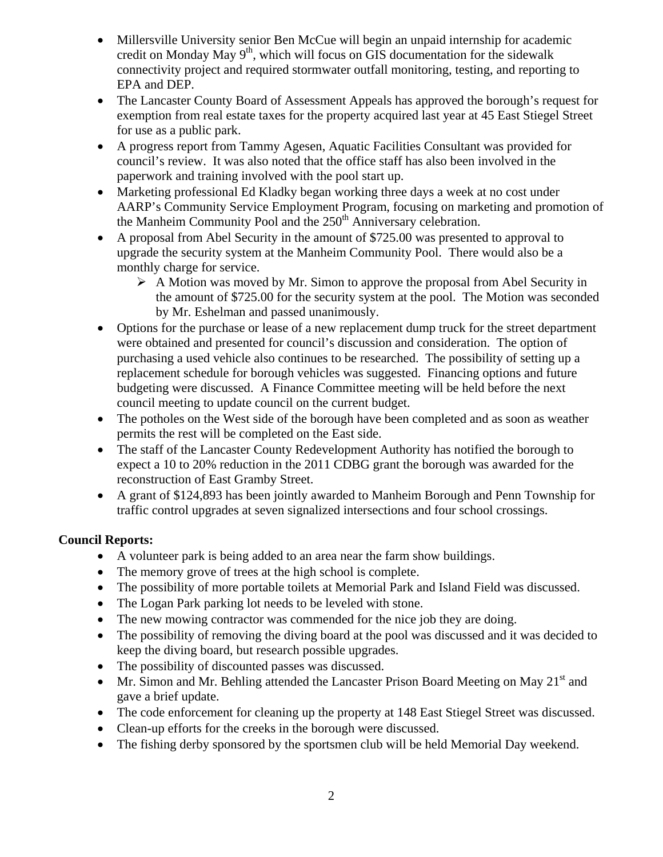- Millersville University senior Ben McCue will begin an unpaid internship for academic credit on Monday May 9<sup>th</sup>, which will focus on GIS documentation for the sidewalk connectivity project and required stormwater outfall monitoring, testing, and reporting to EPA and DEP.
- The Lancaster County Board of Assessment Appeals has approved the borough's request for exemption from real estate taxes for the property acquired last year at 45 East Stiegel Street for use as a public park.
- A progress report from Tammy Agesen, Aquatic Facilities Consultant was provided for council's review. It was also noted that the office staff has also been involved in the paperwork and training involved with the pool start up.
- Marketing professional Ed Kladky began working three days a week at no cost under AARP's Community Service Employment Program, focusing on marketing and promotion of the Manheim Community Pool and the  $250<sup>th</sup>$  Anniversary celebration.
- A proposal from Abel Security in the amount of \$725.00 was presented to approval to upgrade the security system at the Manheim Community Pool. There would also be a monthly charge for service.
	- $\triangleright$  A Motion was moved by Mr. Simon to approve the proposal from Abel Security in the amount of \$725.00 for the security system at the pool. The Motion was seconded by Mr. Eshelman and passed unanimously.
- Options for the purchase or lease of a new replacement dump truck for the street department were obtained and presented for council's discussion and consideration. The option of purchasing a used vehicle also continues to be researched. The possibility of setting up a replacement schedule for borough vehicles was suggested. Financing options and future budgeting were discussed. A Finance Committee meeting will be held before the next council meeting to update council on the current budget.
- The potholes on the West side of the borough have been completed and as soon as weather permits the rest will be completed on the East side.
- The staff of the Lancaster County Redevelopment Authority has notified the borough to expect a 10 to 20% reduction in the 2011 CDBG grant the borough was awarded for the reconstruction of East Gramby Street.
- A grant of \$124,893 has been jointly awarded to Manheim Borough and Penn Township for traffic control upgrades at seven signalized intersections and four school crossings.

# **Council Reports:**

- A volunteer park is being added to an area near the farm show buildings.
- The memory grove of trees at the high school is complete.
- The possibility of more portable toilets at Memorial Park and Island Field was discussed.
- The Logan Park parking lot needs to be leveled with stone.
- The new mowing contractor was commended for the nice job they are doing.
- The possibility of removing the diving board at the pool was discussed and it was decided to keep the diving board, but research possible upgrades.
- The possibility of discounted passes was discussed.
- Mr. Simon and Mr. Behling attended the Lancaster Prison Board Meeting on May 21<sup>st</sup> and gave a brief update.
- The code enforcement for cleaning up the property at 148 East Stiegel Street was discussed.
- Clean-up efforts for the creeks in the borough were discussed.
- The fishing derby sponsored by the sportsmen club will be held Memorial Day weekend.